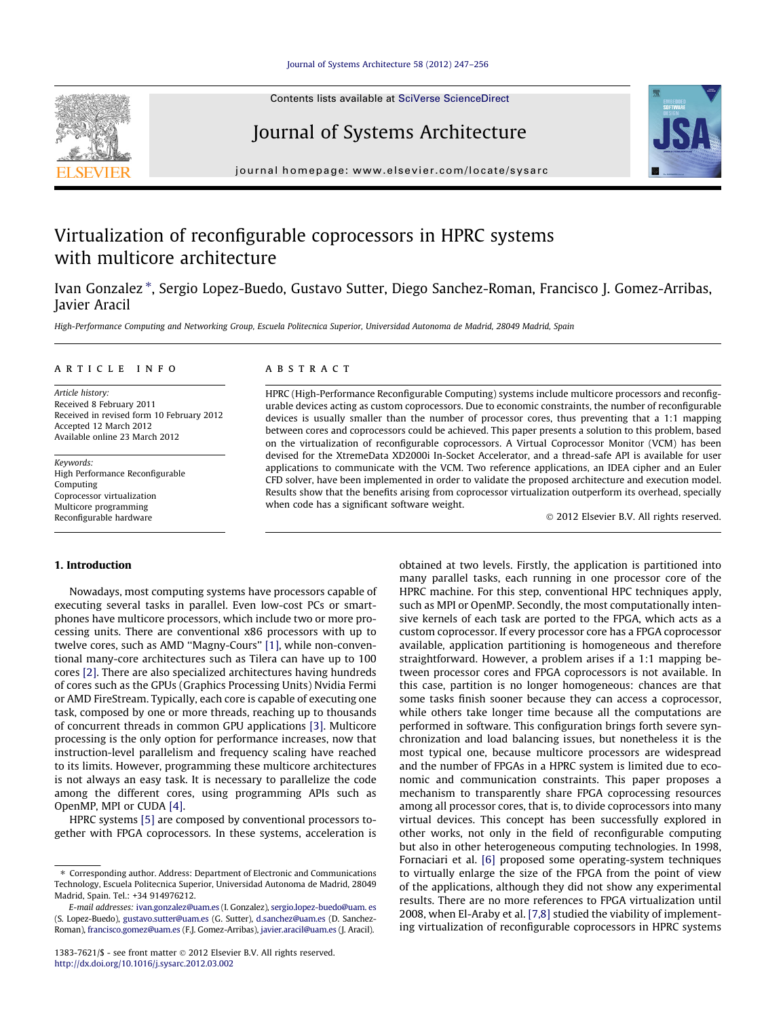#### [Journal of Systems Architecture 58 \(2012\) 247–256](http://dx.doi.org/10.1016/j.sysarc.2012.03.002)

Contents lists available at [SciVerse ScienceDirect](http://www.sciencedirect.com/science/journal/13837621)

### Journal of Systems Architecture

journal homepage: [www.elsevier.com/locate/sysarc](http://www.elsevier.com/locate/sysarc)

## Virtualization of reconfigurable coprocessors in HPRC systems with multicore architecture

Ivan Gonzalez \*, Sergio Lopez-Buedo, Gustavo Sutter, Diego Sanchez-Roman, Francisco J. Gomez-Arribas, Javier Aracil

High-Performance Computing and Networking Group, Escuela Politecnica Superior, Universidad Autonoma de Madrid, 28049 Madrid, Spain

#### article info

Article history: Received 8 February 2011 Received in revised form 10 February 2012 Accepted 12 March 2012 Available online 23 March 2012

Keywords: High Performance Reconfigurable Computing Coprocessor virtualization Multicore programming Reconfigurable hardware

#### 1. Introduction

Nowadays, most computing systems have processors capable of executing several tasks in parallel. Even low-cost PCs or smartphones have multicore processors, which include two or more processing units. There are conventional x86 processors with up to twelve cores, such as AMD ''Magny-Cours'' [\[1\],](#page--1-0) while non-conventional many-core architectures such as Tilera can have up to 100 cores [\[2\]](#page--1-0). There are also specialized architectures having hundreds of cores such as the GPUs (Graphics Processing Units) Nvidia Fermi or AMD FireStream. Typically, each core is capable of executing one task, composed by one or more threads, reaching up to thousands of concurrent threads in common GPU applications [\[3\]](#page--1-0). Multicore processing is the only option for performance increases, now that instruction-level parallelism and frequency scaling have reached to its limits. However, programming these multicore architectures is not always an easy task. It is necessary to parallelize the code among the different cores, using programming APIs such as OpenMP, MPI or CUDA [\[4\].](#page--1-0)

HPRC systems [\[5\]](#page--1-0) are composed by conventional processors together with FPGA coprocessors. In these systems, acceleration is

#### **ABSTRACT**

HPRC (High-Performance Reconfigurable Computing) systems include multicore processors and reconfigurable devices acting as custom coprocessors. Due to economic constraints, the number of reconfigurable devices is usually smaller than the number of processor cores, thus preventing that a 1:1 mapping between cores and coprocessors could be achieved. This paper presents a solution to this problem, based on the virtualization of reconfigurable coprocessors. A Virtual Coprocessor Monitor (VCM) has been devised for the XtremeData XD2000i In-Socket Accelerator, and a thread-safe API is available for user applications to communicate with the VCM. Two reference applications, an IDEA cipher and an Euler CFD solver, have been implemented in order to validate the proposed architecture and execution model. Results show that the benefits arising from coprocessor virtualization outperform its overhead, specially when code has a significant software weight.

- 2012 Elsevier B.V. All rights reserved.

obtained at two levels. Firstly, the application is partitioned into many parallel tasks, each running in one processor core of the HPRC machine. For this step, conventional HPC techniques apply, such as MPI or OpenMP. Secondly, the most computationally intensive kernels of each task are ported to the FPGA, which acts as a custom coprocessor. If every processor core has a FPGA coprocessor available, application partitioning is homogeneous and therefore straightforward. However, a problem arises if a 1:1 mapping between processor cores and FPGA coprocessors is not available. In this case, partition is no longer homogeneous: chances are that some tasks finish sooner because they can access a coprocessor, while others take longer time because all the computations are performed in software. This configuration brings forth severe synchronization and load balancing issues, but nonetheless it is the most typical one, because multicore processors are widespread and the number of FPGAs in a HPRC system is limited due to economic and communication constraints. This paper proposes a mechanism to transparently share FPGA coprocessing resources among all processor cores, that is, to divide coprocessors into many virtual devices. This concept has been successfully explored in other works, not only in the field of reconfigurable computing but also in other heterogeneous computing technologies. In 1998, Fornaciari et al. [\[6\]](#page--1-0) proposed some operating-system techniques to virtually enlarge the size of the FPGA from the point of view of the applications, although they did not show any experimental results. There are no more references to FPGA virtualization until 2008, when El-Araby et al. [\[7,8\]](#page--1-0) studied the viability of implementing virtualization of reconfigurable coprocessors in HPRC systems





<sup>⇑</sup> Corresponding author. Address: Department of Electronic and Communications Technology, Escuela Politecnica Superior, Universidad Autonoma de Madrid, 28049 Madrid, Spain. Tel.: +34 914976212.

E-mail addresses: [ivan.gonzalez@uam.es](mailto:ivan.gonzalez@uam.es) (I. Gonzalez), [sergio.lopez-buedo@uam. es](mailto:sergio.lopez-buedo@uam.es) (S. Lopez-Buedo), [gustavo.sutter@uam.es](mailto:gustavo.sutter@uam.es) (G. Sutter), [d.sanchez@uam.es](mailto:d.sanchez@uam.es) (D. Sanchez-Roman), [francisco.gomez@uam.es](mailto:francisco.gomez@uam.es) (F.J. Gomez-Arribas), [javier.aracil@uam.es](mailto:javier.aracil@uam.es) (J. Aracil).

<sup>1383-7621/\$ -</sup> see front matter @ 2012 Elsevier B.V. All rights reserved. <http://dx.doi.org/10.1016/j.sysarc.2012.03.002>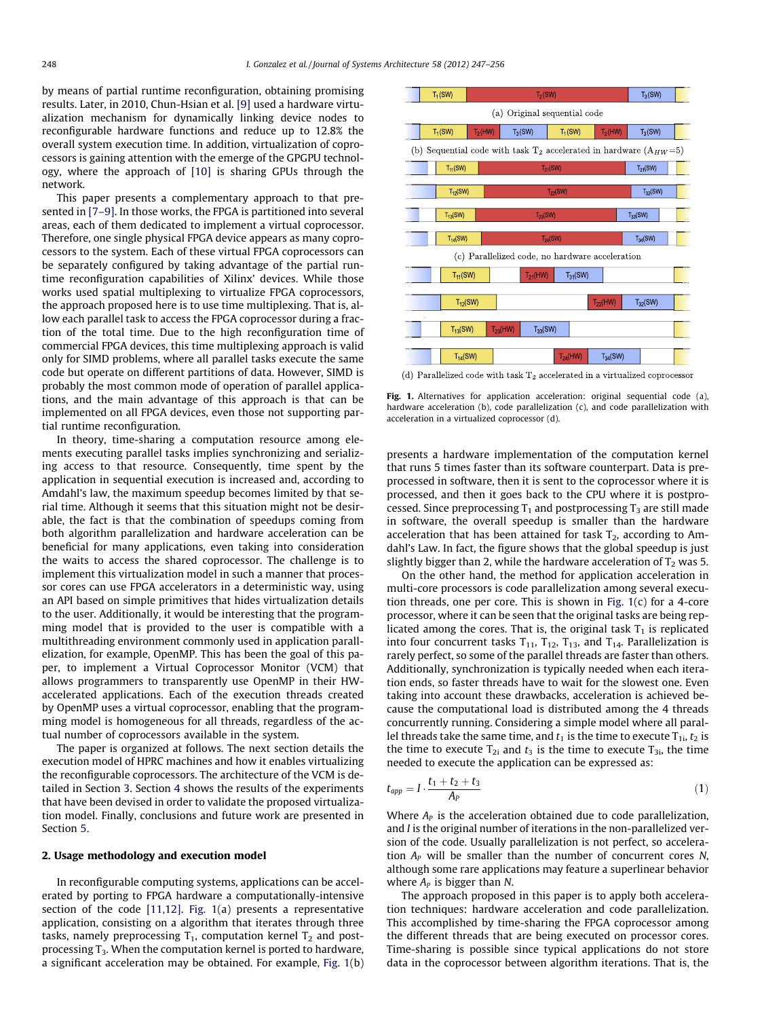by means of partial runtime reconfiguration, obtaining promising results. Later, in 2010, Chun-Hsian et al. [\[9\]](#page--1-0) used a hardware virtualization mechanism for dynamically linking device nodes to reconfigurable hardware functions and reduce up to 12.8% the overall system execution time. In addition, virtualization of coprocessors is gaining attention with the emerge of the GPGPU technology, where the approach of [\[10\]](#page--1-0) is sharing GPUs through the network.

This paper presents a complementary approach to that presented in [\[7–9\]](#page--1-0). In those works, the FPGA is partitioned into several areas, each of them dedicated to implement a virtual coprocessor. Therefore, one single physical FPGA device appears as many coprocessors to the system. Each of these virtual FPGA coprocessors can be separately configured by taking advantage of the partial runtime reconfiguration capabilities of Xilinx' devices. While those works used spatial multiplexing to virtualize FPGA coprocessors, the approach proposed here is to use time multiplexing. That is, allow each parallel task to access the FPGA coprocessor during a fraction of the total time. Due to the high reconfiguration time of commercial FPGA devices, this time multiplexing approach is valid only for SIMD problems, where all parallel tasks execute the same code but operate on different partitions of data. However, SIMD is probably the most common mode of operation of parallel applications, and the main advantage of this approach is that can be implemented on all FPGA devices, even those not supporting partial runtime reconfiguration.

In theory, time-sharing a computation resource among elements executing parallel tasks implies synchronizing and serializing access to that resource. Consequently, time spent by the application in sequential execution is increased and, according to Amdahl's law, the maximum speedup becomes limited by that serial time. Although it seems that this situation might not be desirable, the fact is that the combination of speedups coming from both algorithm parallelization and hardware acceleration can be beneficial for many applications, even taking into consideration the waits to access the shared coprocessor. The challenge is to implement this virtualization model in such a manner that processor cores can use FPGA accelerators in a deterministic way, using an API based on simple primitives that hides virtualization details to the user. Additionally, it would be interesting that the programming model that is provided to the user is compatible with a multithreading environment commonly used in application parallelization, for example, OpenMP. This has been the goal of this paper, to implement a Virtual Coprocessor Monitor (VCM) that allows programmers to transparently use OpenMP in their HWaccelerated applications. Each of the execution threads created by OpenMP uses a virtual coprocessor, enabling that the programming model is homogeneous for all threads, regardless of the actual number of coprocessors available in the system.

The paper is organized at follows. The next section details the execution model of HPRC machines and how it enables virtualizing the reconfigurable coprocessors. The architecture of the VCM is detailed in Section [3](#page--1-0). Section [4](#page--1-0) shows the results of the experiments that have been devised in order to validate the proposed virtualization model. Finally, conclusions and future work are presented in Section [5.](#page--1-0)

#### 2. Usage methodology and execution model

In reconfigurable computing systems, applications can be accelerated by porting to FPGA hardware a computationally-intensive section of the code [\[11,12\]](#page--1-0). Fig. 1(a) presents a representative application, consisting on a algorithm that iterates through three tasks, namely preprocessing  $T_1$ , computation kernel  $T_2$  and postprocessing  $T_3$ . When the computation kernel is ported to hardware, a significant acceleration may be obtained. For example, Fig. 1(b)



(d) Parallelized code with task  $T_2$  accelerated in a virtualized coprocessor

Fig. 1. Alternatives for application acceleration: original sequential code (a), hardware acceleration (b), code parallelization (c), and code parallelization with acceleration in a virtualized coprocessor (d).

presents a hardware implementation of the computation kernel that runs 5 times faster than its software counterpart. Data is preprocessed in software, then it is sent to the coprocessor where it is processed, and then it goes back to the CPU where it is postprocessed. Since preprocessing  $T_1$  and postprocessing  $T_3$  are still made in software, the overall speedup is smaller than the hardware acceleration that has been attained for task  $T_2$ , according to Amdahl's Law. In fact, the figure shows that the global speedup is just slightly bigger than 2, while the hardware acceleration of  $T_2$  was 5.

On the other hand, the method for application acceleration in multi-core processors is code parallelization among several execution threads, one per core. This is shown in Fig. 1(c) for a 4-core processor, where it can be seen that the original tasks are being replicated among the cores. That is, the original task  $T_1$  is replicated into four concurrent tasks  $T_{11}$ ,  $T_{12}$ ,  $T_{13}$ , and  $T_{14}$ . Parallelization is rarely perfect, so some of the parallel threads are faster than others. Additionally, synchronization is typically needed when each iteration ends, so faster threads have to wait for the slowest one. Even taking into account these drawbacks, acceleration is achieved because the computational load is distributed among the 4 threads concurrently running. Considering a simple model where all parallel threads take the same time, and  $t_1$  is the time to execute  $T_{1i}$ ,  $t_2$  is the time to execute  $T_{2i}$  and  $t_3$  is the time to execute  $T_{3i}$ , the time needed to execute the application can be expressed as:

$$
t_{app} = I \cdot \frac{t_1 + t_2 + t_3}{A_P} \tag{1}
$$

Where  $A<sub>P</sub>$  is the acceleration obtained due to code parallelization, and I is the original number of iterations in the non-parallelized version of the code. Usually parallelization is not perfect, so acceleration  $A_P$  will be smaller than the number of concurrent cores N, although some rare applications may feature a superlinear behavior where  $A_P$  is bigger than N.

The approach proposed in this paper is to apply both acceleration techniques: hardware acceleration and code parallelization. This accomplished by time-sharing the FPGA coprocessor among the different threads that are being executed on processor cores. Time-sharing is possible since typical applications do not store data in the coprocessor between algorithm iterations. That is, the